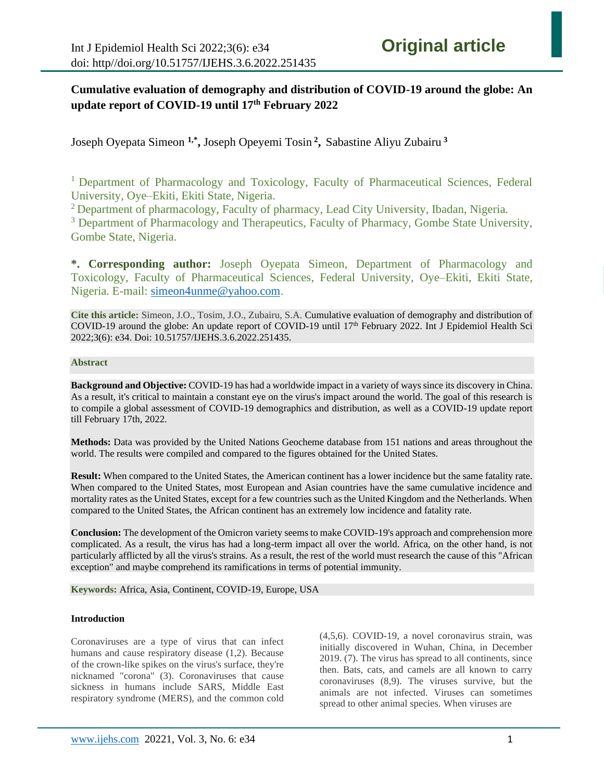# **Cumulative evaluation of demography and distribution of COVID-19 around the globe: An update report of COVID-19 until 17th February 2022**

Joseph Oyepata Simeon **1,\* ,** Joseph Opeyemi Tosin **<sup>2</sup> ,** Sabastine Aliyu Zubairu **<sup>3</sup>**

<sup>1</sup> Department of Pharmacology and Toxicology, Faculty of Pharmaceutical Sciences, Federal University, Oye–Ekiti, Ekiti State, Nigeria.

<sup>2</sup> Department of pharmacology, Faculty of pharmacy, Lead City University, Ibadan, Nigeria.

<sup>3</sup> Department of Pharmacology and Therapeutics, Faculty of Pharmacy, Gombe State University, Gombe State, Nigeria.

**\*. Corresponding author:** Joseph Oyepata Simeon, Department of Pharmacology and Toxicology, Faculty of Pharmaceutical Sciences, Federal University, Oye–Ekiti, Ekiti State, Nigeria. E-mail: [simeon4unme@yahoo.com.](mailto:simeon4unme@yahoo.com)

**Cite this article:** Simeon, J.O., Tosim, J.O., Zubairu, S.A. Cumulative evaluation of demography and distribution of COVID-19 around the globe: An update report of COVID-19 until 17th February 2022. Int J Epidemiol Health Sci 2022;3(6): e34. Doi: 10.51757/IJEHS.3.6.2022.251435.

### **Abstract**

**Background and Objective:** COVID-19 has had a worldwide impact in a variety of ways since its discovery in China. As a result, it's critical to maintain a constant eye on the virus's impact around the world. The goal of this research is to compile a global assessment of COVID-19 demographics and distribution, as well as a COVID-19 update report till February 17th, 2022.

**Methods:** Data was provided by the United Nations Geocheme database from 151 nations and areas throughout the world. The results were compiled and compared to the figures obtained for the United States.

**Result:** When compared to the United States, the American continent has a lower incidence but the same fatality rate. When compared to the United States, most European and Asian countries have the same cumulative incidence and mortality rates as the United States, except for a few countries such as the United Kingdom and the Netherlands. When compared to the United States, the African continent has an extremely low incidence and fatality rate.

**Conclusion:** The development of the Omicron variety seems to make COVID-19's approach and comprehension more complicated. As a result, the virus has had a long-term impact all over the world. Africa, on the other hand, is not particularly afflicted by all the virus's strains. As a result, the rest of the world must research the cause of this "African exception" and maybe comprehend its ramifications in terms of potential immunity.

**Keywords:** Africa, Asia, Continent, COVID-19, Europe, USA

#### **Introduction**

Coronaviruses are a type of virus that can infect humans and cause respiratory disease (1,2). Because of the crown-like spikes on the virus's surface, they're nicknamed "corona" (3). Coronaviruses that cause sickness in humans include SARS, Middle East respiratory syndrome (MERS), and the common cold

(4,5,6). COVID-19, a novel coronavirus strain, was initially discovered in Wuhan, China, in December 2019. (7). The virus has spread to all continents, since then. Bats, cats, and camels are all known to carry coronaviruses (8,9). The viruses survive, but the animals are not infected. Viruses can sometimes spread to other animal species. When viruses are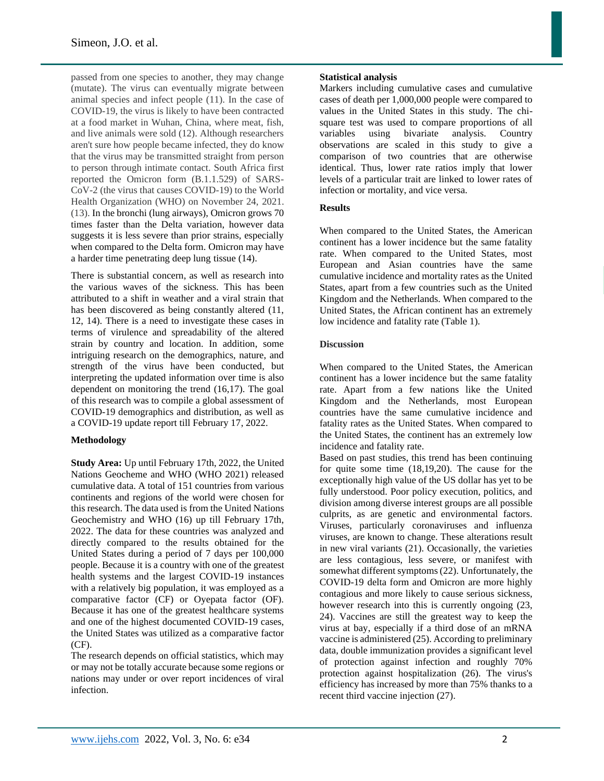passed from one species to another, they may change (mutate). The virus can eventually migrate between animal species and infect people (11). In the case of COVID-19, the virus is likely to have been contracted at a food market in Wuhan, China, where meat, fish, and live animals were sold (12). Although researchers aren't sure how people became infected, they do know that the virus may be transmitted straight from person to person through intimate contact. South Africa first reported the Omicron form (B.1.1.529) of SARS-CoV-2 (the virus that causes COVID-19) to the World Health Organization (WHO) on November 24, 2021. (13). In the bronchi (lung airways), Omicron grows 70 times faster than the Delta variation, however data suggests it is less severe than prior strains, especially when compared to the Delta form. Omicron may have a harder time penetrating deep lung tissue (14).

There is substantial concern, as well as research into the various waves of the sickness. This has been attributed to a shift in weather and a viral strain that has been discovered as being constantly altered (11, 12, 14). There is a need to investigate these cases in terms of virulence and spreadability of the altered strain by country and location. In addition, some intriguing research on the demographics, nature, and strength of the virus have been conducted, but interpreting the updated information over time is also dependent on monitoring the trend (16,17). The goal of this research was to compile a global assessment of COVID-19 demographics and distribution, as well as a COVID-19 update report till February 17, 2022.

# **Methodology**

**Study Area:** Up until February 17th, 2022, the United Nations Geocheme and WHO (WHO 2021) released cumulative data. A total of 151 countries from various continents and regions of the world were chosen for this research. The data used is from the United Nations Geochemistry and WHO (16) up till February 17th, 2022. The data for these countries was analyzed and directly compared to the results obtained for the United States during a period of 7 days per 100,000 people. Because it is a country with one of the greatest health systems and the largest COVID-19 instances with a relatively big population, it was employed as a comparative factor (CF) or Oyepata factor (OF). Because it has one of the greatest healthcare systems and one of the highest documented COVID-19 cases, the United States was utilized as a comparative factor (CF).

The research depends on official statistics, which may or may not be totally accurate because some regions or nations may under or over report incidences of viral infection.

### **Statistical analysis**

Markers including cumulative cases and cumulative cases of death per 1,000,000 people were compared to values in the United States in this study. The chisquare test was used to compare proportions of all variables using bivariate analysis. Country observations are scaled in this study to give a comparison of two countries that are otherwise identical. Thus, lower rate ratios imply that lower levels of a particular trait are linked to lower rates of infection or mortality, and vice versa.

# **Results**

When compared to the United States, the American continent has a lower incidence but the same fatality rate. When compared to the United States, most European and Asian countries have the same cumulative incidence and mortality rates as the United States, apart from a few countries such as the United Kingdom and the Netherlands. When compared to the United States, the African continent has an extremely low incidence and fatality rate (Table 1).

### **Discussion**

When compared to the United States, the American continent has a lower incidence but the same fatality rate. Apart from a few nations like the United Kingdom and the Netherlands, most European countries have the same cumulative incidence and fatality rates as the United States. When compared to the United States, the continent has an extremely low incidence and fatality rate.

Based on past studies, this trend has been continuing for quite some time (18,19,20). The cause for the exceptionally high value of the US dollar has yet to be fully understood. Poor policy execution, politics, and division among diverse interest groups are all possible culprits, as are genetic and environmental factors. Viruses, particularly coronaviruses and influenza viruses, are known to change. These alterations result in new viral variants (21). Occasionally, the varieties are less contagious, less severe, or manifest with somewhat different symptoms (22). Unfortunately, the COVID-19 delta form and Omicron are more highly contagious and more likely to cause serious sickness, however research into this is currently ongoing  $(23, 12)$ 24). Vaccines are still the greatest way to keep the virus at bay, especially if a third dose of an mRNA vaccine is administered (25). According to preliminary data, double immunization provides a significant level of protection against infection and roughly 70% protection against hospitalization (26). The virus's efficiency has increased by more than 75% thanks to a recent third vaccine injection (27).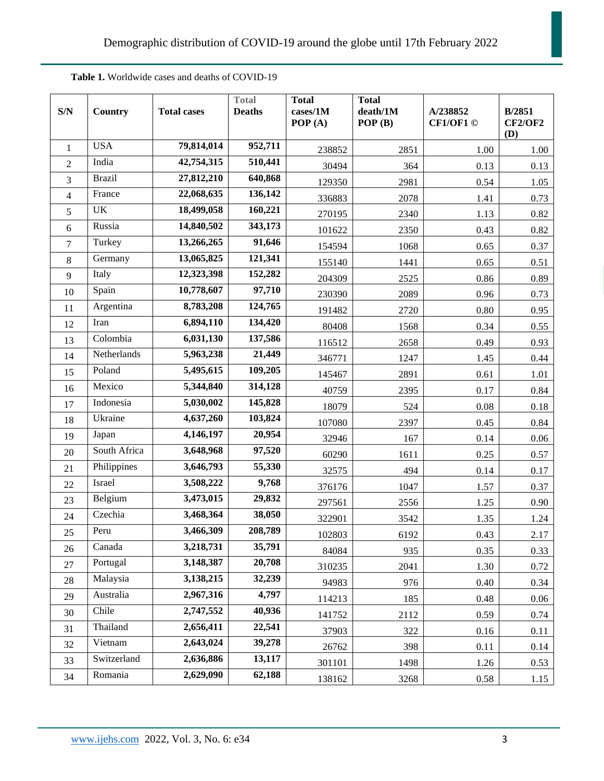| S/N            | Country       | <b>Total cases</b> | <b>Total</b><br><b>Deaths</b> | <b>Total</b><br>cases/1M<br>POP(A) | <b>Total</b><br>death/1M<br>POP(B) | A/238852<br>CF1/OF1 © | B/2851<br><b>CF2/OF2</b><br>(D) |
|----------------|---------------|--------------------|-------------------------------|------------------------------------|------------------------------------|-----------------------|---------------------------------|
| $\mathbf{1}$   | <b>USA</b>    | 79,814,014         | 952,711                       | 238852                             | 2851                               | 1.00                  | 1.00                            |
| $\overline{2}$ | India         | 42,754,315         | 510,441                       | 30494                              | 364                                | 0.13                  | 0.13                            |
| 3              | <b>Brazil</b> | 27,812,210         | 640,868                       | 129350                             | 2981                               | 0.54                  | 1.05                            |
| 4              | France        | 22,068,635         | 136,142                       | 336883                             | 2078                               | 1.41                  | 0.73                            |
| 5              | UK            | 18,499,058         | 160,221                       | 270195                             | 2340                               | 1.13                  | 0.82                            |
| 6              | Russia        | 14,840,502         | 343,173                       | 101622                             | 2350                               | 0.43                  | 0.82                            |
| 7              | Turkey        | 13,266,265         | 91,646                        | 154594                             | 1068                               | 0.65                  | 0.37                            |
| 8              | Germany       | 13,065,825         | 121,341                       | 155140                             | 1441                               | 0.65                  | 0.51                            |
| 9              | Italy         | 12,323,398         | 152,282                       | 204309                             | 2525                               | 0.86                  | 0.89                            |
| 10             | Spain         | 10,778,607         | 97,710                        | 230390                             | 2089                               | 0.96                  | 0.73                            |
| 11             | Argentina     | 8,783,208          | 124,765                       | 191482                             | 2720                               | 0.80                  | 0.95                            |
| 12             | Iran          | 6,894,110          | 134,420                       | 80408                              | 1568                               | 0.34                  | 0.55                            |
| 13             | Colombia      | 6,031,130          | 137,586                       | 116512                             | 2658                               | 0.49                  | 0.93                            |
| 14             | Netherlands   | 5,963,238          | 21,449                        | 346771                             | 1247                               | 1.45                  | 0.44                            |
| 15             | Poland        | 5,495,615          | 109,205                       | 145467                             | 2891                               | 0.61                  | 1.01                            |
| 16             | Mexico        | 5,344,840          | 314,128                       | 40759                              | 2395                               | 0.17                  | 0.84                            |
| 17             | Indonesia     | 5,030,002          | 145,828                       | 18079                              | 524                                | 0.08                  | 0.18                            |
| 18             | Ukraine       | 4,637,260          | 103,824                       | 107080                             | 2397                               | 0.45                  | 0.84                            |
| 19             | Japan         | 4,146,197          | 20,954                        | 32946                              | 167                                | 0.14                  | 0.06                            |
| 20             | South Africa  | 3,648,968          | 97,520                        | 60290                              | 1611                               | 0.25                  | 0.57                            |
| 21             | Philippines   | 3,646,793          | 55,330                        | 32575                              | 494                                | 0.14                  | 0.17                            |
| 22             | Israel        | 3,508,222          | 9,768                         | 376176                             | 1047                               | 1.57                  | 0.37                            |
| 23             | Belgium       | 3,473,015          | 29,832                        | 297561                             | 2556                               | 1.25                  | 0.90                            |
| 24             | Czechia       | 3,468,364          | 38,050                        | 322901                             | 3542                               | 1.35                  | 1.24                            |
| 25             | Peru          | 3,466,309          | 208,789                       | 102803                             | 6192                               | 0.43                  | 2.17                            |
| 26             | Canada        | 3,218,731          | 35,791                        | 84084                              | 935                                | 0.35                  | 0.33                            |
| 27             | Portugal      | 3,148,387          | 20,708                        | 310235                             | 2041                               | 1.30                  | 0.72                            |
| 28             | Malaysia      | 3,138,215          | 32,239                        | 94983                              | 976                                | 0.40                  | 0.34                            |
| 29             | Australia     | 2,967,316          | 4,797                         | 114213                             | 185                                | 0.48                  | 0.06                            |
| 30             | Chile         | 2,747,552          | 40,936                        | 141752                             | 2112                               | 0.59                  | 0.74                            |
| 31             | Thailand      | 2,656,411          | 22,541                        | 37903                              | 322                                | 0.16                  | 0.11                            |
| 32             | Vietnam       | 2,643,024          | 39,278                        | 26762                              | 398                                | 0.11                  | 0.14                            |
| 33             | Switzerland   | 2,636,886          | 13,117                        | 301101                             | 1498                               | 1.26                  | 0.53                            |
| 34             | Romania       | 2,629,090          | 62,188                        | 138162                             | 3268                               | 0.58                  | 1.15                            |

**Table 1.** Worldwide cases and deaths of COVID-19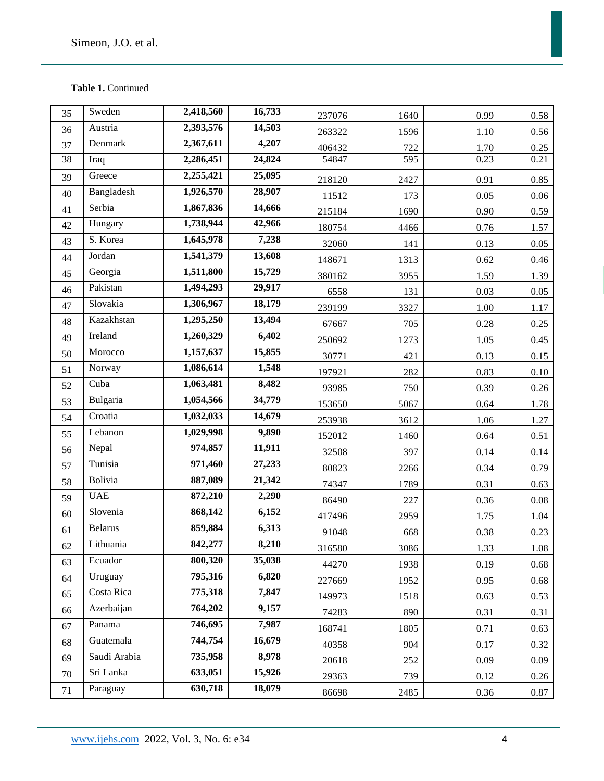| 35 | Sweden         | 2,418,560 | 16,733 | 237076 | 1640 | 0.99 | 0.58     |
|----|----------------|-----------|--------|--------|------|------|----------|
| 36 | Austria        | 2,393,576 | 14,503 | 263322 | 1596 | 1.10 | 0.56     |
| 37 | Denmark        | 2,367,611 | 4,207  | 406432 | 722  | 1.70 | 0.25     |
| 38 | Iraq           | 2,286,451 | 24,824 | 54847  | 595  | 0.23 | 0.21     |
| 39 | Greece         | 2,255,421 | 25,095 | 218120 | 2427 | 0.91 | 0.85     |
| 40 | Bangladesh     | 1,926,570 | 28,907 | 11512  | 173  | 0.05 | $0.06\,$ |
| 41 | Serbia         | 1,867,836 | 14,666 | 215184 | 1690 | 0.90 | 0.59     |
| 42 | Hungary        | 1,738,944 | 42,966 | 180754 | 4466 | 0.76 | 1.57     |
| 43 | S. Korea       | 1,645,978 | 7,238  | 32060  | 141  | 0.13 | 0.05     |
| 44 | Jordan         | 1,541,379 | 13,608 | 148671 | 1313 | 0.62 | 0.46     |
| 45 | Georgia        | 1,511,800 | 15,729 | 380162 | 3955 | 1.59 | 1.39     |
| 46 | Pakistan       | 1,494,293 | 29,917 | 6558   | 131  | 0.03 | 0.05     |
| 47 | Slovakia       | 1,306,967 | 18,179 | 239199 | 3327 | 1.00 | 1.17     |
| 48 | Kazakhstan     | 1,295,250 | 13,494 | 67667  | 705  | 0.28 | 0.25     |
| 49 | Ireland        | 1,260,329 | 6,402  | 250692 | 1273 | 1.05 | 0.45     |
| 50 | Morocco        | 1,157,637 | 15,855 | 30771  | 421  | 0.13 | 0.15     |
| 51 | Norway         | 1,086,614 | 1,548  | 197921 | 282  | 0.83 | 0.10     |
| 52 | Cuba           | 1,063,481 | 8,482  | 93985  | 750  | 0.39 | 0.26     |
| 53 | Bulgaria       | 1,054,566 | 34,779 | 153650 | 5067 | 0.64 | 1.78     |
| 54 | Croatia        | 1,032,033 | 14,679 | 253938 | 3612 | 1.06 | 1.27     |
| 55 | Lebanon        | 1,029,998 | 9,890  | 152012 | 1460 | 0.64 | 0.51     |
| 56 | Nepal          | 974,857   | 11,911 | 32508  | 397  | 0.14 | 0.14     |
| 57 | Tunisia        | 971,460   | 27,233 | 80823  | 2266 | 0.34 | 0.79     |
| 58 | Bolivia        | 887,089   | 21,342 | 74347  | 1789 | 0.31 | 0.63     |
| 59 | <b>UAE</b>     | 872,210   | 2,290  | 86490  | 227  | 0.36 | $0.08\,$ |
| 60 | Slovenia       | 868,142   | 6,152  | 417496 | 2959 | 1.75 | 1.04     |
| 61 | <b>Belarus</b> | 859,884   | 6,313  | 91048  | 668  | 0.38 | 0.23     |
| 62 | Lithuania      | 842,277   | 8,210  | 316580 | 3086 | 1.33 | 1.08     |
| 63 | Ecuador        | 800,320   | 35,038 | 44270  | 1938 | 0.19 | 0.68     |
| 64 | Uruguay        | 795,316   | 6,820  | 227669 | 1952 | 0.95 | 0.68     |
| 65 | Costa Rica     | 775,318   | 7,847  | 149973 | 1518 | 0.63 | 0.53     |
| 66 | Azerbaijan     | 764,202   | 9,157  | 74283  | 890  | 0.31 | 0.31     |
| 67 | Panama         | 746,695   | 7,987  | 168741 | 1805 | 0.71 | 0.63     |
| 68 | Guatemala      | 744,754   | 16,679 | 40358  | 904  | 0.17 | 0.32     |
| 69 | Saudi Arabia   | 735,958   | 8,978  | 20618  | 252  | 0.09 | 0.09     |
| 70 | Sri Lanka      | 633,051   | 15,926 | 29363  | 739  | 0.12 | 0.26     |
| 71 | Paraguay       | 630,718   | 18,079 | 86698  | 2485 | 0.36 | 0.87     |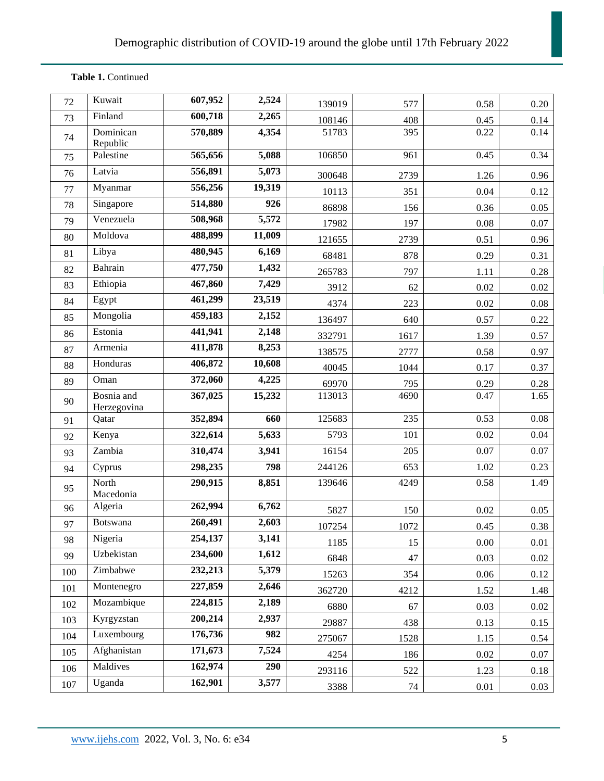| 72  | Kuwait                    | 607,952 | 2,524  | 139019 | 577  | 0.58     | 0.20     |
|-----|---------------------------|---------|--------|--------|------|----------|----------|
| 73  | Finland                   | 600,718 | 2,265  | 108146 | 408  | 0.45     | 0.14     |
| 74  | Dominican<br>Republic     | 570,889 | 4,354  | 51783  | 395  | 0.22     | 0.14     |
| 75  | Palestine                 | 565,656 | 5,088  | 106850 | 961  | 0.45     | 0.34     |
| 76  | Latvia                    | 556,891 | 5,073  | 300648 | 2739 | 1.26     | 0.96     |
| 77  | Myanmar                   | 556,256 | 19,319 | 10113  | 351  | 0.04     | 0.12     |
| 78  | Singapore                 | 514,880 | 926    | 86898  | 156  | 0.36     | 0.05     |
| 79  | Venezuela                 | 508,968 | 5,572  | 17982  | 197  | 0.08     | 0.07     |
| 80  | Moldova                   | 488,899 | 11,009 | 121655 | 2739 | 0.51     | 0.96     |
| 81  | Libya                     | 480,945 | 6,169  | 68481  | 878  | 0.29     | 0.31     |
| 82  | Bahrain                   | 477,750 | 1,432  | 265783 | 797  | 1.11     | 0.28     |
| 83  | Ethiopia                  | 467,860 | 7,429  | 3912   | 62   | $0.02\,$ | $0.02\,$ |
| 84  | Egypt                     | 461,299 | 23,519 | 4374   | 223  | 0.02     | 0.08     |
| 85  | Mongolia                  | 459,183 | 2,152  | 136497 | 640  | 0.57     | 0.22     |
| 86  | Estonia                   | 441,941 | 2,148  | 332791 | 1617 | 1.39     | 0.57     |
| 87  | Armenia                   | 411,878 | 8,253  | 138575 | 2777 | 0.58     | 0.97     |
| 88  | Honduras                  | 406,872 | 10,608 | 40045  | 1044 | 0.17     | 0.37     |
| 89  | Oman                      | 372,060 | 4,225  | 69970  | 795  | 0.29     | 0.28     |
| 90  | Bosnia and<br>Herzegovina | 367,025 | 15,232 | 113013 | 4690 | 0.47     | 1.65     |
| 91  | Qatar                     | 352,894 | 660    | 125683 | 235  | 0.53     | 0.08     |
| 92  | Kenya                     | 322,614 | 5,633  | 5793   | 101  | 0.02     | 0.04     |
| 93  | Zambia                    | 310,474 | 3,941  | 16154  | 205  | 0.07     | 0.07     |
| 94  | Cyprus                    | 298,235 | 798    | 244126 | 653  | 1.02     | 0.23     |
| 95  | North<br>Macedonia        | 290,915 | 8,851  | 139646 | 4249 | 0.58     | 1.49     |
| 96  | Algeria                   | 262,994 | 6,762  | 5827   | 150  | 0.02     | 0.05     |
| 97  | Botswana                  | 260,491 | 2,603  | 107254 | 1072 | 0.45     | 0.38     |
| 98  | Nigeria                   | 254,137 | 3,141  | 1185   | 15   | $0.00\,$ | 0.01     |
| 99  | Uzbekistan                | 234,600 | 1,612  | 6848   | 47   | 0.03     | 0.02     |
| 100 | Zimbabwe                  | 232,213 | 5,379  | 15263  | 354  | 0.06     | 0.12     |
| 101 | Montenegro                | 227,859 | 2,646  | 362720 | 4212 | 1.52     | 1.48     |
| 102 | Mozambique                | 224,815 | 2,189  | 6880   | 67   | 0.03     | 0.02     |
| 103 | Kyrgyzstan                | 200,214 | 2,937  | 29887  | 438  | 0.13     | 0.15     |
| 104 | Luxembourg                | 176,736 | 982    | 275067 | 1528 | 1.15     | 0.54     |
| 105 | Afghanistan               | 171,673 | 7,524  | 4254   | 186  | $0.02\,$ | 0.07     |
| 106 | Maldives                  | 162,974 | 290    | 293116 | 522  | 1.23     | 0.18     |
| 107 | Uganda                    | 162,901 | 3,577  | 3388   | 74   | 0.01     | 0.03     |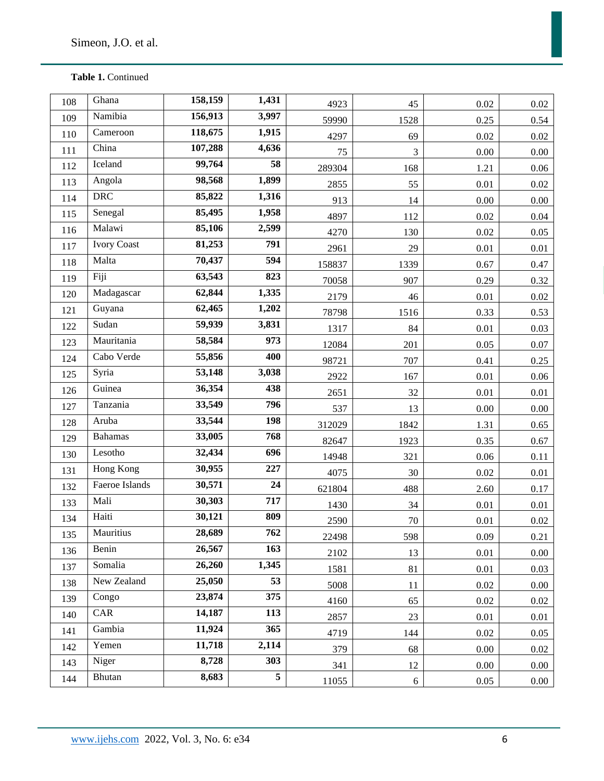| 108 | Ghana              | 158,159 | 1,431 | 4923   | 45             | 0.02     | 0.02     |
|-----|--------------------|---------|-------|--------|----------------|----------|----------|
| 109 | Namibia            | 156,913 | 3,997 | 59990  | 1528           | 0.25     | 0.54     |
| 110 | Cameroon           | 118,675 | 1,915 | 4297   | 69             | 0.02     | $0.02\,$ |
| 111 | China              | 107,288 | 4,636 | 75     | $\mathfrak{Z}$ | $0.00\,$ | $0.00\,$ |
| 112 | Iceland            | 99,764  | 58    | 289304 | 168            | 1.21     | 0.06     |
| 113 | Angola             | 98,568  | 1,899 | 2855   | 55             | 0.01     | 0.02     |
| 114 | <b>DRC</b>         | 85,822  | 1,316 | 913    | 14             | $0.00\,$ | $0.00\,$ |
| 115 | Senegal            | 85,495  | 1,958 | 4897   | 112            | 0.02     | 0.04     |
| 116 | Malawi             | 85,106  | 2,599 | 4270   | 130            | 0.02     | 0.05     |
| 117 | <b>Ivory Coast</b> | 81,253  | 791   | 2961   | 29             | 0.01     | 0.01     |
| 118 | Malta              | 70,437  | 594   | 158837 | 1339           | 0.67     | 0.47     |
| 119 | Fiji               | 63,543  | 823   | 70058  | 907            | 0.29     | 0.32     |
| 120 | Madagascar         | 62,844  | 1,335 | 2179   | 46             | 0.01     | 0.02     |
| 121 | Guyana             | 62,465  | 1,202 | 78798  | 1516           | 0.33     | 0.53     |
| 122 | Sudan              | 59,939  | 3,831 | 1317   | 84             | 0.01     | 0.03     |
| 123 | Mauritania         | 58,584  | 973   | 12084  | 201            | 0.05     | $0.07\,$ |
| 124 | Cabo Verde         | 55,856  | 400   | 98721  | 707            | 0.41     | 0.25     |
| 125 | Syria              | 53,148  | 3,038 | 2922   | 167            | 0.01     | 0.06     |
| 126 | Guinea             | 36,354  | 438   | 2651   | 32             | 0.01     | 0.01     |
| 127 | Tanzania           | 33,549  | 796   | 537    | 13             | $0.00\,$ | 0.00     |
| 128 | Aruba              | 33,544  | 198   | 312029 | 1842           | 1.31     | 0.65     |
| 129 | <b>Bahamas</b>     | 33,005  | 768   | 82647  | 1923           | 0.35     | 0.67     |
| 130 | Lesotho            | 32,434  | 696   | 14948  | 321            | 0.06     | 0.11     |
| 131 | Hong Kong          | 30,955  | 227   | 4075   | 30             | $0.02\,$ | 0.01     |
| 132 | Faeroe Islands     | 30,571  | 24    | 621804 | 488            | 2.60     | 0.17     |
| 133 | Mali               | 30,303  | 717   | 1430   | 34             | 0.01     | 0.01     |
| 134 | Haiti              | 30,121  | 809   | 2590   | $70\,$         | 0.01     | 0.02     |
| 135 | Mauritius          | 28,689  | 762   | 22498  | 598            | $0.09\,$ | 0.21     |
| 136 | Benin              | 26,567  | 163   | 2102   | 13             | 0.01     | 0.00     |
| 137 | Somalia            | 26,260  | 1,345 | 1581   | 81             | 0.01     | 0.03     |
| 138 | New Zealand        | 25,050  | 53    | 5008   | 11             | $0.02\,$ | 0.00     |
| 139 | Congo              | 23,874  | 375   | 4160   | 65             | 0.02     | 0.02     |
| 140 | CAR                | 14,187  | 113   | 2857   | 23             | 0.01     | 0.01     |
| 141 | Gambia             | 11,924  | 365   | 4719   | 144            | $0.02\,$ | 0.05     |
| 142 | Yemen              | 11,718  | 2,114 | 379    | 68             | 0.00     | 0.02     |
| 143 | Niger              | 8,728   | 303   | 341    | 12             | 0.00     | 0.00     |
| 144 | Bhutan             | 8,683   | 5     | 11055  | $6\,$          | 0.05     | $0.00\,$ |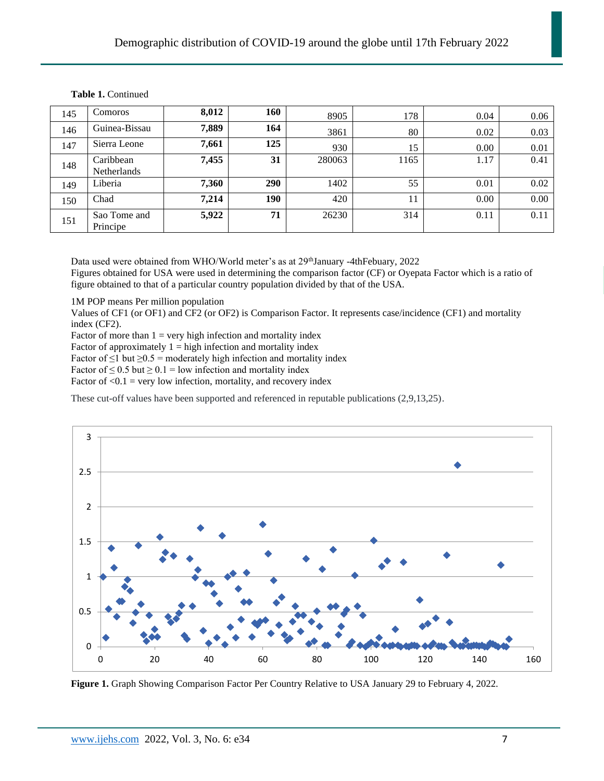| 145 | <b>Comoros</b>           | 8,012 | 160 | 8905   | 178  | 0.04 | 0.06 |
|-----|--------------------------|-------|-----|--------|------|------|------|
| 146 | Guinea-Bissau            | 7,889 | 164 | 3861   | 80   | 0.02 | 0.03 |
| 147 | Sierra Leone             | 7,661 | 125 | 930    | 15   | 0.00 | 0.01 |
| 148 | Caribbean<br>Netherlands | 7,455 | 31  | 280063 | 1165 | 1.17 | 0.41 |
| 149 | Liberia                  | 7,360 | 290 | 1402   | 55   | 0.01 | 0.02 |
| 150 | Chad                     | 7,214 | 190 | 420    | 11   | 0.00 | 0.00 |
| 151 | Sao Tome and<br>Principe | 5,922 | 71  | 26230  | 314  | 0.11 | 0.11 |

Data used were obtained from WHO/World meter's as at 29<sup>th</sup>January -4thFebuary, 2022

Figures obtained for USA were used in determining the comparison factor (CF) or Oyepata Factor which is a ratio of figure obtained to that of a particular country population divided by that of the USA.

1M POP means Per million population

Values of CF1 (or OF1) and CF2 (or OF2) is Comparison Factor. It represents case/incidence (CF1) and mortality index (CF2).

Factor of more than  $1 = \text{very high infection and mortality index}$ 

Factor of approximately  $1 =$  high infection and mortality index

Factor of  $\leq$ 1 but  $\geq$ 0.5 = moderately high infection and mortality index

Factor of  $\leq 0.5$  but  $\geq 0.1$  = low infection and mortality index

Factor of  $\leq 0.1$  = very low infection, mortality, and recovery index

These cut-off values have been supported and referenced in reputable publications (2,9,13,25).



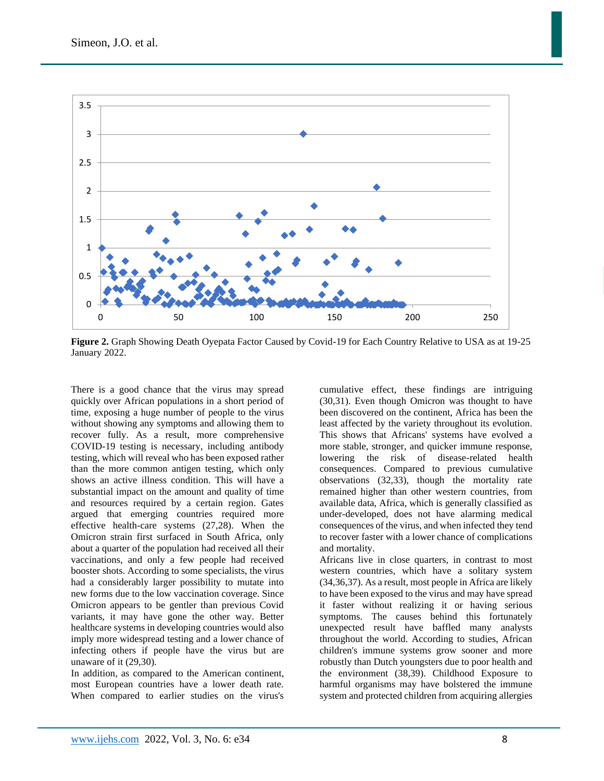

Simeon, J.O. et al.

**Figure 2.** Graph Showing Death Oyepata Factor Caused by Covid-19 for Each Country Relative to USA as at 19-25 January 2022.

There is a good chance that the virus may spread quickly over African populations in a short period of time, exposing a huge number of people to the virus without showing any symptoms and allowing them to recover fully. As a result, more comprehensive COVID-19 testing is necessary, including antibody testing, which will reveal who has been exposed rather than the more common antigen testing, which only shows an active illness condition. This will have a substantial impact on the amount and quality of time and resources required by a certain region. Gates argued that emerging countries required more effective health-care systems (27,28). When the Omicron strain first surfaced in South Africa, only about a quarter of the population had received all their vaccinations, and only a few people had received booster shots. According to some specialists, the virus had a considerably larger possibility to mutate into new forms due to the low vaccination coverage. Since Omicron appears to be gentler than previous Covid variants, it may have gone the other way. Better healthcare systems in developing countries would also imply more widespread testing and a lower chance of infecting others if people have the virus but are unaware of it (29,30).

In addition, as compared to the American continent, most European countries have a lower death rate. When compared to earlier studies on the virus's

cumulative effect, these findings are intriguing (30,31). Even though Omicron was thought to have been discovered on the continent, Africa has been the least affected by the variety throughout its evolution. This shows that Africans' systems have evolved a more stable, stronger, and quicker immune response, lowering the risk of disease-related health consequences. Compared to previous cumulative observations (32,33), though the mortality rate remained higher than other western countries, from available data, Africa, which is generally classified as under-developed, does not have alarming medical consequences of the virus, and when infected they tend to recover faster with a lower chance of complications and mortality.

Africans live in close quarters, in contrast to most western countries, which have a solitary system (34,36,37). As a result, most people in Africa are likely to have been exposed to the virus and may have spread it faster without realizing it or having serious symptoms. The causes behind this fortunately unexpected result have baffled many analysts throughout the world. According to studies, African children's immune systems grow sooner and more robustly than Dutch youngsters due to poor health and the environment (38,39). Childhood Exposure to harmful organisms may have bolstered the immune system and protected children from acquiring allergies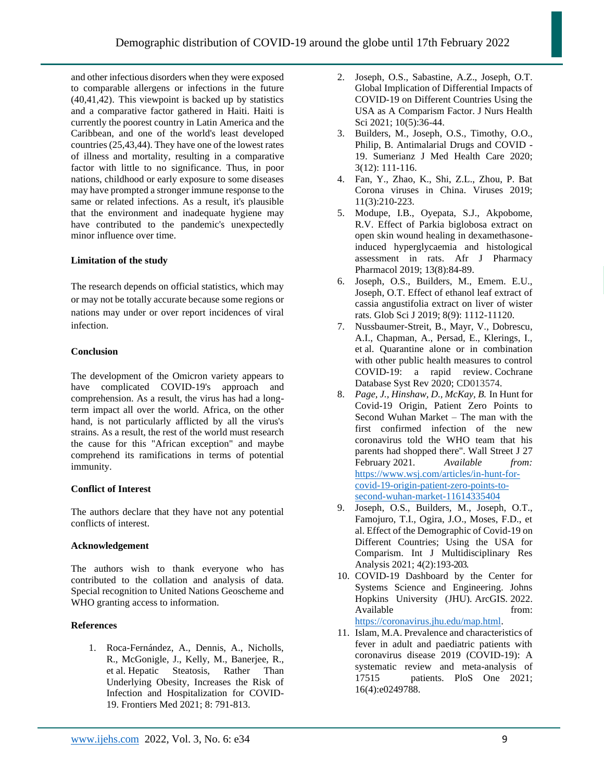and other infectious disorders when they were exposed to comparable allergens or infections in the future (40,41,42). This viewpoint is backed up by statistics and a comparative factor gathered in Haiti. Haiti is currently the poorest country in Latin America and the Caribbean, and one of the world's least developed countries (25,43,44). They have one of the lowest rates of illness and mortality, resulting in a comparative factor with little to no significance. Thus, in poor nations, childhood or early exposure to some diseases may have prompted a stronger immune response to the same or related infections. As a result, it's plausible that the environment and inadequate hygiene may have contributed to the pandemic's unexpectedly minor influence over time.

# **Limitation of the study**

The research depends on official statistics, which may or may not be totally accurate because some regions or nations may under or over report incidences of viral infection.

# **Conclusion**

The development of the Omicron variety appears to have complicated COVID-19's approach and comprehension. As a result, the virus has had a longterm impact all over the world. Africa, on the other hand, is not particularly afflicted by all the virus's strains. As a result, the rest of the world must research the cause for this "African exception" and maybe comprehend its ramifications in terms of potential immunity.

# **Conflict of Interest**

The authors declare that they have not any potential conflicts of interest.

# **Acknowledgement**

The authors wish to thank everyone who has contributed to the collation and analysis of data. Special recognition to United Nations Geoscheme and WHO granting access to information.

# **References**

1. Roca-Fernández, A., Dennis, A., Nicholls, R., McGonigle, J., Kelly, M., Banerjee, R., et al. [Hepatic Steatosis, Rather Than](https://www.ncbi.nlm.nih.gov/pmc/articles/PMC8039134)  [Underlying Obesity, Increases the Risk of](https://www.ncbi.nlm.nih.gov/pmc/articles/PMC8039134)  [Infection and Hospitalization for COVID-](https://www.ncbi.nlm.nih.gov/pmc/articles/PMC8039134)[19.](https://www.ncbi.nlm.nih.gov/pmc/articles/PMC8039134) Frontiers Med 2021; 8: 791-813.

- 2. Joseph, O.S., Sabastine, A.Z., Joseph, O.T. Global Implication of Differential Impacts of COVID-19 on Different Countries Using the USA as A Comparism Factor. J Nurs Health Sci 2021; 10(5):36-44.
- 3. Builders, M., Joseph, O.S., Timothy, O.O., Philip, B. Antimalarial Drugs and COVID - 19. Sumerianz J Med Health Care 2020; 3(12): 111-116.
- 4. Fan, Y., Zhao, K., Shi, Z.L., Zhou, P. Bat Corona viruses in China. Viruses 2019; 11(3):210-223.
- 5. Modupe, I.B., Oyepata, S.J., Akpobome, R.V. Effect of Parkia biglobosa extract on open skin wound healing in dexamethasoneinduced hyperglycaemia and histological assessment in rats. Afr J Pharmacy Pharmacol 2019; 13(8):84-89.
- 6. Joseph, O.S., Builders, M., Emem. E.U., Joseph, O.T. Effect of ethanol leaf extract of cassia angustifolia extract on liver of wister rats. Glob Sci J 2019; 8(9): 1112-11120.
- 7. Nussbaumer-Streit, B., Mayr, V., Dobrescu, A.I., Chapman, A., Persad, E., Klerings, I., et al. [Quarantine alone or in combination](https://doi.org/10.1002%2F14651858.CD013574)  [with other public health measures to control](https://doi.org/10.1002%2F14651858.CD013574)  [COVID-19: a rapid review.](https://doi.org/10.1002%2F14651858.CD013574) Cochrane Database Syst Rev 2020; CD013574.
- 8. *Page, J., Hinshaw, D., McKay, B.* In Hunt for Covid-19 Origin, Patient Zero Points to Second Wuhan Market – The man with the first confirmed infection of the new coronavirus told the WHO team that his parents had shopped there"*.* Wall Street J 27 February 2021*. Available from:*  [https://www.wsj.com/articles/in-hunt-for](https://www.wsj.com/articles/in-hunt-for-covid-19-origin-patient-zero-points-to-second-wuhan-market-11614335404)[covid-19-origin-patient-zero-points-to](https://www.wsj.com/articles/in-hunt-for-covid-19-origin-patient-zero-points-to-second-wuhan-market-11614335404)[second-wuhan-market-11614335404](https://www.wsj.com/articles/in-hunt-for-covid-19-origin-patient-zero-points-to-second-wuhan-market-11614335404)
- 9. Joseph, O.S., Builders, M., Joseph, O.T., Famojuro, T.I., Ogira, J.O., Moses, F.D., et al. Effect of the Demographic of Covid-19 on Different Countries; Using the USA for Comparism. Int J Multidisciplinary Res Analysis 2021; 4(2):193-203.
- 10. COVID-19 Dashboard by the Center for Systems Science and Engineering. Johns Hopkins University (JHU)*.* ArcGIS*.* 2022. Available from from  $\mathbf{f}$ [https://coronavirus.jhu.edu/map.html.](https://coronavirus.jhu.edu/map.html)
- 11. Islam, M.A. [Prevalence and characteristics of](https://www.ncbi.nlm.nih.gov/pmc/articles/PMC8023501)  [fever in adult and paediatric patients with](https://www.ncbi.nlm.nih.gov/pmc/articles/PMC8023501)  [coronavirus disease 2019 \(COVID-19\): A](https://www.ncbi.nlm.nih.gov/pmc/articles/PMC8023501)  [systematic review and meta-analysis of](https://www.ncbi.nlm.nih.gov/pmc/articles/PMC8023501)  [17515 patients. PloS One 2021;](https://www.ncbi.nlm.nih.gov/pmc/articles/PMC8023501)  [16\(4\):e0249788.](https://www.ncbi.nlm.nih.gov/pmc/articles/PMC8023501)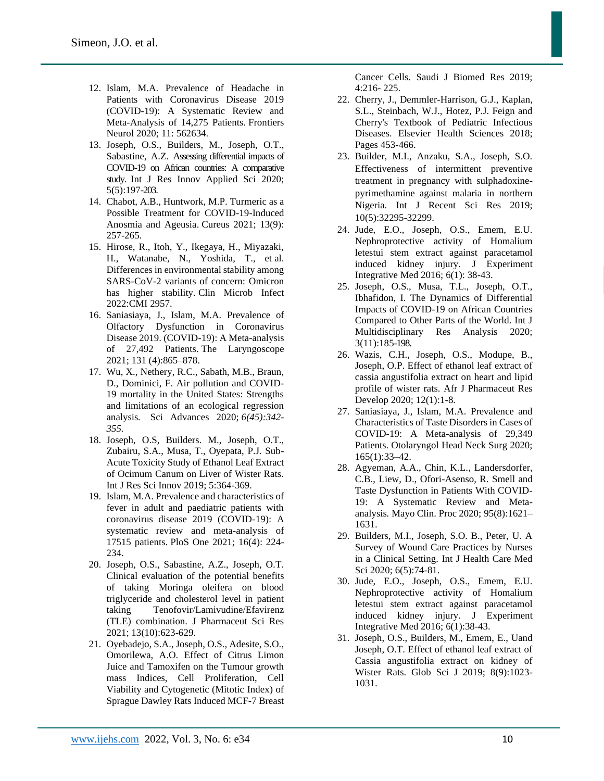- 12. Islam, M.A. Prevalence of Headache in Patients with Coronavirus Disease 2019 (COVID-19): A Systematic Review and Meta-Analysis of 14,275 Patients*.* Frontiers Neurol 2020; 11: 562634.
- 13. Joseph, O.S., Builders, M., Joseph, O.T., Sabastine, A.Z. Assessing differential impacts of COVID-19 on African countries: A comparative study. Int J Res Innov Applied Sci 2020; 5(5):197-203.
- 14. Chabot, A.B., Huntwork, M.P. [Turmeric as a](https://www.ncbi.nlm.nih.gov/pmc/articles/PMC8502749)  [Possible Treatment for COVID-19-Induced](https://www.ncbi.nlm.nih.gov/pmc/articles/PMC8502749)  [Anosmia and Ageusia.](https://www.ncbi.nlm.nih.gov/pmc/articles/PMC8502749) Cureus 2021; 13(9): 257-265.
- 15. Hirose, R., Itoh, Y., Ikegaya, H., Miyazaki, H., Watanabe, N., Yoshida, T., et al. Differences in environmental stability among SARS-CoV-2 variants of concern: Omicron has higher stability. Clin Microb Infect 2022:CMI 2957.
- 16. Saniasiaya, J., Islam, M.A. [Prevalence of](https://www.ncbi.nlm.nih.gov/pmc/articles/PMC7753439)  [Olfactory Dysfunction in Coronavirus](https://www.ncbi.nlm.nih.gov/pmc/articles/PMC7753439)  [Disease 2019. \(COVID-19\): A Meta-analysis](https://www.ncbi.nlm.nih.gov/pmc/articles/PMC7753439)  [of 27,492 Patients.](https://www.ncbi.nlm.nih.gov/pmc/articles/PMC7753439) The Laryngoscope 2021; 131 (4):865–878.
- 17. Wu, X., Nethery, R.C., Sabath, M.B., Braun, D., Dominici, F. Air pollution and COVID-19 mortality in the United States: Strengths and limitations of an ecological regression analysis*.* Sci Advances 2020; *6(45):342- 355.*
- 18. Joseph, O.S, Builders. M., Joseph, O.T., Zubairu, S.A., Musa, T., Oyepata, P.J. Sub-Acute Toxicity Study of Ethanol Leaf Extract of Ocimum Canum on Liver of Wister Rats. Int J Res Sci Innov 2019; 5:364-369.
- 19. Islam, M.A. Prevalence and characteristics of fever in adult and paediatric patients with coronavirus disease 2019 (COVID-19): A systematic review and meta-analysis of 17515 patients*.* PloS One 2021; 16(4): 224- 234.
- 20. Joseph, O.S., Sabastine, A.Z., Joseph, O.T. Clinical evaluation of the potential benefits of taking Moringa oleifera on blood triglyceride and cholesterol level in patient taking Tenofovir/Lamivudine/Efavirenz (TLE) combination. J Pharmaceut Sci Res 2021; 13(10):623-629.
- 21. Oyebadejo, S.A., Joseph, O.S., Adesite, S.O., Omorilewa, A.O. Effect of Citrus Limon Juice and Tamoxifen on the Tumour growth mass Indices, Cell Proliferation, Cell Viability and Cytogenetic (Mitotic Index) of Sprague Dawley Rats Induced MCF-7 Breast

Cancer Cells. Saudi J Biomed Res 2019; 4:216- 225.

- 22. Cherry, J., Demmler-Harrison, G.J., Kaplan, S.L., Steinbach, W.J., Hotez, P.J. Feign and Cherry's Textbook of Pediatric Infectious Diseases. Elsevier Health Sciences 2018; Pages 453-466.
- 23. Builder, M.I., Anzaku, S.A., Joseph, S.O. Effectiveness of intermittent preventive treatment in pregnancy with sulphadoxinepyrimethamine against malaria in northern Nigeria. Int J Recent Sci Res 2019; 10(5):32295-32299.
- 24. Jude, E.O., Joseph, O.S., Emem, E.U. Nephroprotective activity of Homalium letestui stem extract against paracetamol induced kidney injury. J Experiment Integrative Med 2016; 6(1): 38-43.
- 25. Joseph, O.S., Musa, T.L., Joseph, O.T., Ibhafidon, I. The Dynamics of Differential Impacts of COVID-19 on African Countries Compared to Other Parts of the World. Int J Multidisciplinary Res Analysis 2020; 3(11):185-198.
- 26. Wazis, C.H., Joseph, O.S., Modupe, B., Joseph, O.P. Effect of ethanol leaf extract of cassia angustifolia extract on heart and lipid profile of wister rats. Afr J Pharmaceut Res Develop 2020; 12(1):1-8.
- 27. Saniasiaya, J., Islam, M.A. Prevalence and Characteristics of Taste Disorders in Cases of COVID-19: A Meta-analysis of 29,349 Patients. Otolaryngol Head Neck Surg 2020; 165(1):33–42.
- 28. Agyeman, A.A., Chin, K.L., Landersdorfer, C.B., Liew, D., Ofori-Asenso, R. Smell and Taste Dysfunction in Patients With COVID-19: A Systematic Review and Metaanalysis*.* Mayo Clin. Proc 2020; 95(8):1621– 1631.
- 29. Builders, M.I., Joseph, S.O. B., Peter, U. A Survey of Wound Care Practices by Nurses in a Clinical Setting. Int J Health Care Med Sci 2020; 6(5):74-81.
- 30. Jude, E.O., Joseph, O.S., Emem, E.U. Nephroprotective activity of Homalium letestui stem extract against paracetamol induced kidney injury. J Experiment Integrative Med 2016; 6(1):38-43.
- 31. Joseph, O.S., Builders, M., Emem, E., Uand Joseph, O.T. Effect of ethanol leaf extract of Cassia angustifolia extract on kidney of Wister Rats. Glob Sci J 2019; 8(9):1023- 1031.